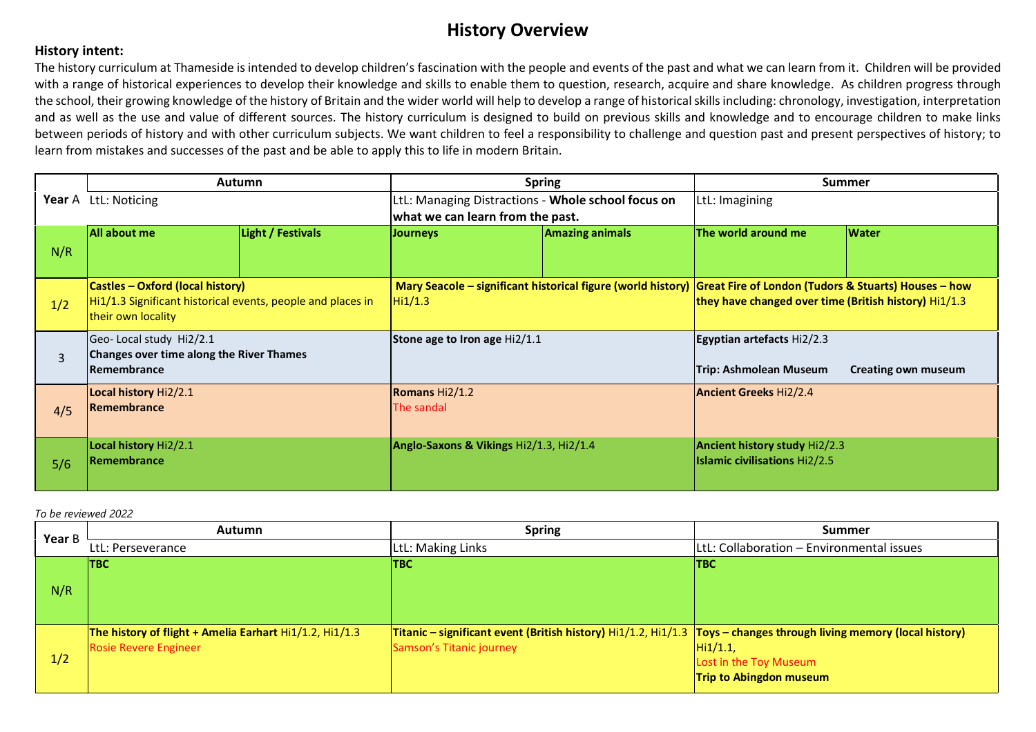## **History Overview**

## **History intent:**

The history curriculum at Thameside is intended to develop children's fascination with the people and events of the past and what we can learn from it. Children will be provided with a range of historical experiences to develop their knowledge and skills to enable them to question, research, acquire and share knowledge. As children progress through the school, their growing knowledge of the history of Britain and the wider world will help to develop a range of historical skills including: chronology, investigation, interpretation and as well as the use and value of different sources. The history curriculum is designed to build on previous skills and knowledge and to encourage children to make links between periods of history and with other curriculum subjects. We want children to feel a responsibility to challenge and question past and present perspectives of history; to learn from mistakes and successes of the past and be able to apply this to life in modern Britain.

|     | <b>Autumn</b>                                               |                   |                                                    | <b>Spring</b>          |                                                                                                                    | <b>Summer</b>              |
|-----|-------------------------------------------------------------|-------------------|----------------------------------------------------|------------------------|--------------------------------------------------------------------------------------------------------------------|----------------------------|
|     | Year A LtL: Noticing                                        |                   | LtL: Managing Distractions - Whole school focus on |                        | LtL: Imagining                                                                                                     |                            |
|     |                                                             |                   | what we can learn from the past.                   |                        |                                                                                                                    |                            |
|     | All about me                                                | Light / Festivals | <b>Journeys</b>                                    | <b>Amazing animals</b> | The world around me                                                                                                | <b>Water</b>               |
| N/R |                                                             |                   |                                                    |                        |                                                                                                                    |                            |
|     |                                                             |                   |                                                    |                        |                                                                                                                    |                            |
|     | <b>Castles - Oxford (local history)</b>                     |                   |                                                    |                        | Mary Seacole – significant historical figure (world history)  Great Fire of London (Tudors & Stuarts) Houses – how |                            |
| 1/2 | Hi1/1.3 Significant historical events, people and places in |                   | Hi1/1.3                                            |                        | they have changed over time (British history) Hi1/1.3                                                              |                            |
|     | their own locality                                          |                   |                                                    |                        |                                                                                                                    |                            |
|     | Geo- Local study Hi2/2.1                                    |                   | Stone age to Iron age Hi2/1.1                      |                        | Egyptian artefacts Hi2/2.3                                                                                         |                            |
| 3   | Changes over time along the River Thames                    |                   |                                                    |                        |                                                                                                                    |                            |
|     | <b>IRemembrance</b>                                         |                   |                                                    |                        | <b>Trip: Ashmolean Museum</b>                                                                                      | <b>Creating own museum</b> |
|     | Local history Hi2/2.1                                       |                   | Romans Hi2/1.2                                     |                        | <b>Ancient Greeks Hi2/2.4</b>                                                                                      |                            |
| 4/5 | <b>IRemembrance</b>                                         |                   | The sandal                                         |                        |                                                                                                                    |                            |
|     |                                                             |                   |                                                    |                        |                                                                                                                    |                            |
|     | Local history Hi2/2.1                                       |                   | Anglo-Saxons & Vikings Hi2/1.3, Hi2/1.4            |                        | <b>Ancient history study Hi2/2.3</b>                                                                               |                            |
| 5/6 | <b>Remembrance</b>                                          |                   |                                                    |                        | <b>Islamic civilisations Hi2/2.5</b>                                                                               |                            |
|     |                                                             |                   |                                                    |                        |                                                                                                                    |                            |

#### *To be reviewed 2022*

| Year B | <b>Autumn</b>                                                | <b>Spring</b>                                                                                                          | <b>Summer</b>                             |
|--------|--------------------------------------------------------------|------------------------------------------------------------------------------------------------------------------------|-------------------------------------------|
|        | LtL: Perseverance                                            | LtL: Making Links                                                                                                      | LtL: Collaboration - Environmental issues |
|        | <b>TBC</b>                                                   | <b>TBC</b>                                                                                                             | <b>TBC</b>                                |
| N/R    |                                                              |                                                                                                                        |                                           |
|        |                                                              |                                                                                                                        |                                           |
|        |                                                              |                                                                                                                        |                                           |
|        | The history of flight + Amelia Earhart $Hi1/1.2$ , $Hi1/1.3$ | Titanic – significant event (British history) $H(1/1.2) H(1/1.3  Toys - changes through living memory (local history)$ |                                           |
|        | <b>Rosie Revere Engineer</b>                                 | Samson's Titanic journey                                                                                               | Hi1/1.1                                   |
|        |                                                              |                                                                                                                        | Lost in the Toy Museum                    |
|        |                                                              |                                                                                                                        | <b>Trip to Abingdon museum</b>            |
| 1/2    |                                                              |                                                                                                                        |                                           |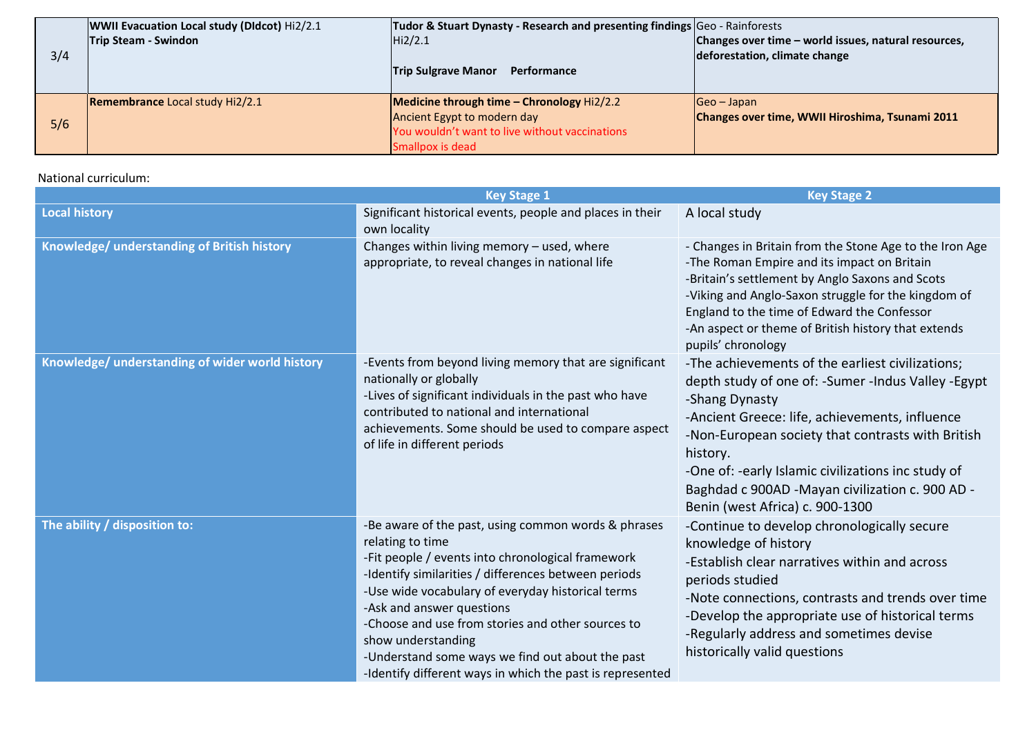|     | WWII Evacuation Local study (DIdcot) Hi2/2.1 | Tudor & Stuart Dynasty - Research and presenting findings Geo - Rainforests |                                                      |
|-----|----------------------------------------------|-----------------------------------------------------------------------------|------------------------------------------------------|
|     | <b>Trip Steam - Swindon</b>                  | Hi2/2.1                                                                     | Changes over time – world issues, natural resources, |
| 3/4 |                                              |                                                                             | deforestation, climate change                        |
|     |                                              | <b>Trip Sulgrave Manor</b><br>Performance                                   |                                                      |
|     |                                              |                                                                             |                                                      |
|     | <b>Remembrance Local study Hi2/2.1</b>       | <b>Medicine through time - Chronology <math>Hi2/2.2</math></b>              | $Geo - Japan$                                        |
| 5/6 |                                              | Ancient Egypt to modern day                                                 | Changes over time, WWII Hiroshima, Tsunami 2011      |
|     |                                              | You wouldn't want to live without vaccinations                              |                                                      |
|     |                                              | Smallpox is dead                                                            |                                                      |

## National curriculum:

|                                                 | <b>Key Stage 1</b>                                                                                                                                                                                                                                                                                                                                                                                                                                                 | <b>Key Stage 2</b>                                                                                                                                                                                                                                                                                                                                                                         |
|-------------------------------------------------|--------------------------------------------------------------------------------------------------------------------------------------------------------------------------------------------------------------------------------------------------------------------------------------------------------------------------------------------------------------------------------------------------------------------------------------------------------------------|--------------------------------------------------------------------------------------------------------------------------------------------------------------------------------------------------------------------------------------------------------------------------------------------------------------------------------------------------------------------------------------------|
| <b>Local history</b>                            | Significant historical events, people and places in their<br>own locality                                                                                                                                                                                                                                                                                                                                                                                          | A local study                                                                                                                                                                                                                                                                                                                                                                              |
| Knowledge/ understanding of British history     | Changes within living memory - used, where<br>appropriate, to reveal changes in national life                                                                                                                                                                                                                                                                                                                                                                      | - Changes in Britain from the Stone Age to the Iron Age<br>-The Roman Empire and its impact on Britain<br>-Britain's settlement by Anglo Saxons and Scots<br>-Viking and Anglo-Saxon struggle for the kingdom of<br>England to the time of Edward the Confessor<br>-An aspect or theme of British history that extends<br>pupils' chronology                                               |
| Knowledge/ understanding of wider world history | -Events from beyond living memory that are significant<br>nationally or globally<br>-Lives of significant individuals in the past who have<br>contributed to national and international<br>achievements. Some should be used to compare aspect<br>of life in different periods                                                                                                                                                                                     | -The achievements of the earliest civilizations;<br>depth study of one of: - Sumer - Indus Valley - Egypt<br>-Shang Dynasty<br>-Ancient Greece: life, achievements, influence<br>-Non-European society that contrasts with British<br>history.<br>-One of: -early Islamic civilizations inc study of<br>Baghdad c 900AD -Mayan civilization c. 900 AD -<br>Benin (west Africa) c. 900-1300 |
| The ability / disposition to:                   | -Be aware of the past, using common words & phrases<br>relating to time<br>-Fit people / events into chronological framework<br>-Identify similarities / differences between periods<br>-Use wide vocabulary of everyday historical terms<br>-Ask and answer questions<br>-Choose and use from stories and other sources to<br>show understanding<br>-Understand some ways we find out about the past<br>-Identify different ways in which the past is represented | -Continue to develop chronologically secure<br>knowledge of history<br>-Establish clear narratives within and across<br>periods studied<br>-Note connections, contrasts and trends over time<br>-Develop the appropriate use of historical terms<br>-Regularly address and sometimes devise<br>historically valid questions                                                                |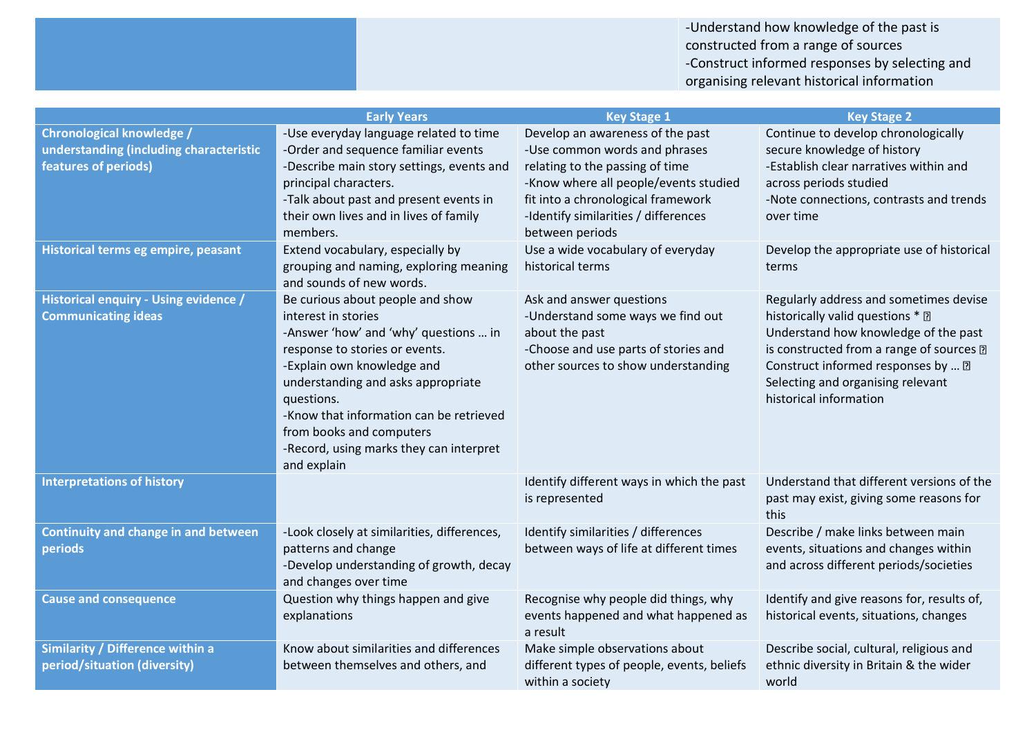-Understand how knowledge of the past is constructed from a range of sources -Construct informed responses by selecting and organising relevant historical information

|                                                                                                     | <b>Early Years</b>                                                                                                                                                                                                                                                                                                                                    | <b>Key Stage 1</b>                                                                                                                                                                                                                             | <b>Key Stage 2</b>                                                                                                                                                                                                                                                  |
|-----------------------------------------------------------------------------------------------------|-------------------------------------------------------------------------------------------------------------------------------------------------------------------------------------------------------------------------------------------------------------------------------------------------------------------------------------------------------|------------------------------------------------------------------------------------------------------------------------------------------------------------------------------------------------------------------------------------------------|---------------------------------------------------------------------------------------------------------------------------------------------------------------------------------------------------------------------------------------------------------------------|
| <b>Chronological knowledge /</b><br>understanding (including characteristic<br>features of periods) | -Use everyday language related to time<br>-Order and sequence familiar events<br>-Describe main story settings, events and<br>principal characters.<br>-Talk about past and present events in<br>their own lives and in lives of family<br>members.                                                                                                   | Develop an awareness of the past<br>-Use common words and phrases<br>relating to the passing of time<br>-Know where all people/events studied<br>fit into a chronological framework<br>-Identify similarities / differences<br>between periods | Continue to develop chronologically<br>secure knowledge of history<br>-Establish clear narratives within and<br>across periods studied<br>-Note connections, contrasts and trends<br>over time                                                                      |
| Historical terms eg empire, peasant                                                                 | Extend vocabulary, especially by<br>grouping and naming, exploring meaning<br>and sounds of new words.                                                                                                                                                                                                                                                | Use a wide vocabulary of everyday<br>historical terms                                                                                                                                                                                          | Develop the appropriate use of historical<br>terms                                                                                                                                                                                                                  |
| Historical enquiry - Using evidence /<br><b>Communicating ideas</b>                                 | Be curious about people and show<br>interest in stories<br>-Answer 'how' and 'why' questions  in<br>response to stories or events.<br>-Explain own knowledge and<br>understanding and asks appropriate<br>questions.<br>-Know that information can be retrieved<br>from books and computers<br>-Record, using marks they can interpret<br>and explain | Ask and answer questions<br>-Understand some ways we find out<br>about the past<br>-Choose and use parts of stories and<br>other sources to show understanding                                                                                 | Regularly address and sometimes devise<br>historically valid questions * ?<br>Understand how knowledge of the past<br>is constructed from a range of sources ?<br>Construct informed responses by  ?<br>Selecting and organising relevant<br>historical information |
| <b>Interpretations of history</b>                                                                   |                                                                                                                                                                                                                                                                                                                                                       | Identify different ways in which the past<br>is represented                                                                                                                                                                                    | Understand that different versions of the<br>past may exist, giving some reasons for<br>this                                                                                                                                                                        |
| <b>Continuity and change in and between</b><br>periods                                              | -Look closely at similarities, differences,<br>patterns and change<br>-Develop understanding of growth, decay<br>and changes over time                                                                                                                                                                                                                | Identify similarities / differences<br>between ways of life at different times                                                                                                                                                                 | Describe / make links between main<br>events, situations and changes within<br>and across different periods/societies                                                                                                                                               |
| <b>Cause and consequence</b>                                                                        | Question why things happen and give<br>explanations                                                                                                                                                                                                                                                                                                   | Recognise why people did things, why<br>events happened and what happened as<br>a result                                                                                                                                                       | Identify and give reasons for, results of,<br>historical events, situations, changes                                                                                                                                                                                |
| Similarity / Difference within a<br>period/situation (diversity)                                    | Know about similarities and differences<br>between themselves and others, and                                                                                                                                                                                                                                                                         | Make simple observations about<br>different types of people, events, beliefs<br>within a society                                                                                                                                               | Describe social, cultural, religious and<br>ethnic diversity in Britain & the wider<br>world                                                                                                                                                                        |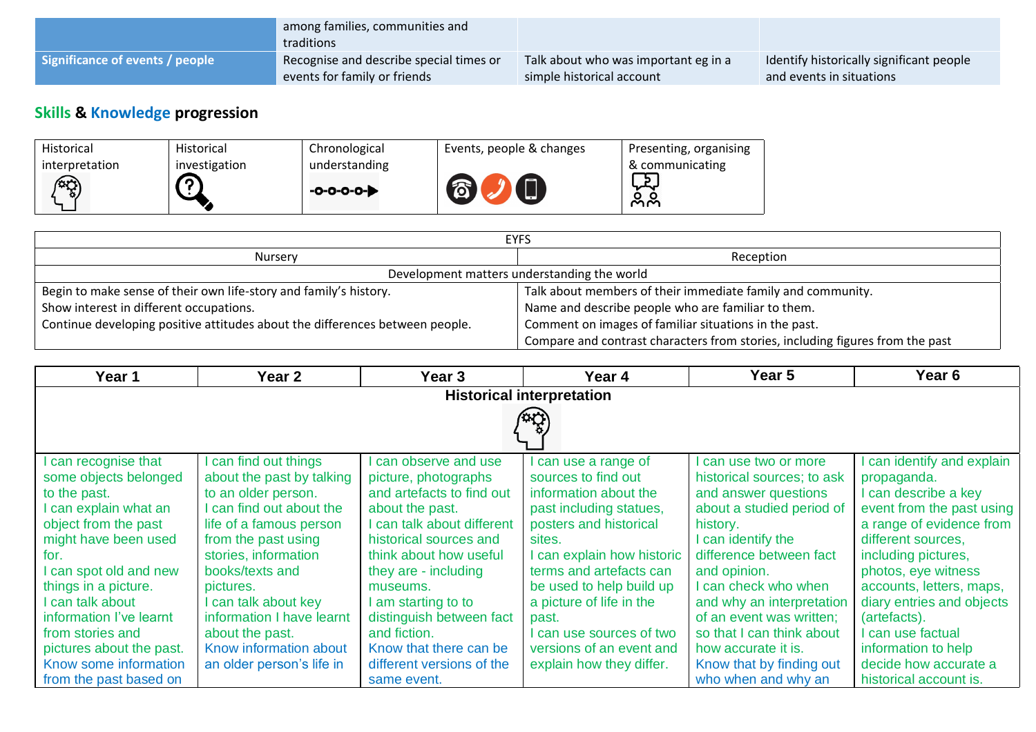|                                 | among families, communities and<br>traditions |                                      |                                          |
|---------------------------------|-----------------------------------------------|--------------------------------------|------------------------------------------|
| Significance of events / people | Recognise and describe special times or       | Talk about who was important eg in a | Identify historically significant people |
|                                 | events for family or friends                  | simple historical account            | and events in situations                 |

# **Skills & Knowledge progression**

| <b>Historical</b> | Historical    | Chronological | Events, people & changes | Presenting, organising |
|-------------------|---------------|---------------|--------------------------|------------------------|
| interpretation    | investigation | understanding |                          | & communicating        |
| $\widehat{C}$     |               | $-0-0-0-0-$   | $\Box$<br>不              | ᅜ<br>ಲ್ಲಿ              |
|                   |               |               |                          |                        |

| <b>EYFS</b>                                                                  |                                                                               |  |  |
|------------------------------------------------------------------------------|-------------------------------------------------------------------------------|--|--|
| <b>Nursery</b>                                                               | Reception                                                                     |  |  |
|                                                                              | Development matters understanding the world                                   |  |  |
| Begin to make sense of their own life-story and family's history.            | Talk about members of their immediate family and community.                   |  |  |
| Show interest in different occupations.                                      | Name and describe people who are familiar to them.                            |  |  |
| Continue developing positive attitudes about the differences between people. | Comment on images of familiar situations in the past.                         |  |  |
|                                                                              | Compare and contrast characters from stories, including figures from the past |  |  |

| Year 1                           | Year 2                    | Year 3                     | Year 4                     | Year 5                     | Year <sub>6</sub>          |  |
|----------------------------------|---------------------------|----------------------------|----------------------------|----------------------------|----------------------------|--|
| <b>Historical interpretation</b> |                           |                            |                            |                            |                            |  |
|                                  |                           |                            |                            |                            |                            |  |
|                                  |                           |                            |                            |                            |                            |  |
| can recognise that               | I can find out things     | can observe and use        | I can use a range of       | can use two or more        | I can identify and explain |  |
| some objects belonged            | about the past by talking | picture, photographs       | sources to find out        | historical sources; to ask | propaganda.                |  |
| to the past.                     | to an older person.       | and artefacts to find out  | information about the      | and answer questions       | I can describe a key       |  |
| I can explain what an            | I can find out about the  | about the past.            | past including statues,    | about a studied period of  | event from the past using  |  |
| object from the past             | life of a famous person   | I can talk about different | posters and historical     | history.                   | a range of evidence from   |  |
| might have been used             | from the past using       | historical sources and     | sites.                     | I can identify the         | different sources,         |  |
| for.                             | stories, information      | think about how useful     | I can explain how historic | difference between fact    | including pictures,        |  |
| I can spot old and new           | books/texts and           | they are - including       | terms and artefacts can    | and opinion.               | photos, eye witness        |  |
| things in a picture.             | pictures.                 | museums.                   | be used to help build up   | I can check who when       | accounts, letters, maps,   |  |
| I can talk about                 | can talk about key        | am starting to to          | a picture of life in the   | and why an interpretation  | diary entries and objects  |  |
| information I've learnt          | information I have learnt | distinguish between fact   | past.                      | of an event was written;   | (artefacts).               |  |
| from stories and                 | about the past.           | and fiction.               | can use sources of two     | so that I can think about  | I can use factual          |  |
| pictures about the past.         | Know information about    | Know that there can be     | versions of an event and   | how accurate it is.        | information to help        |  |
| Know some information            | an older person's life in | different versions of the  | explain how they differ.   | Know that by finding out   | decide how accurate a      |  |
| from the past based on           |                           | same event.                |                            | who when and why an        | historical account is.     |  |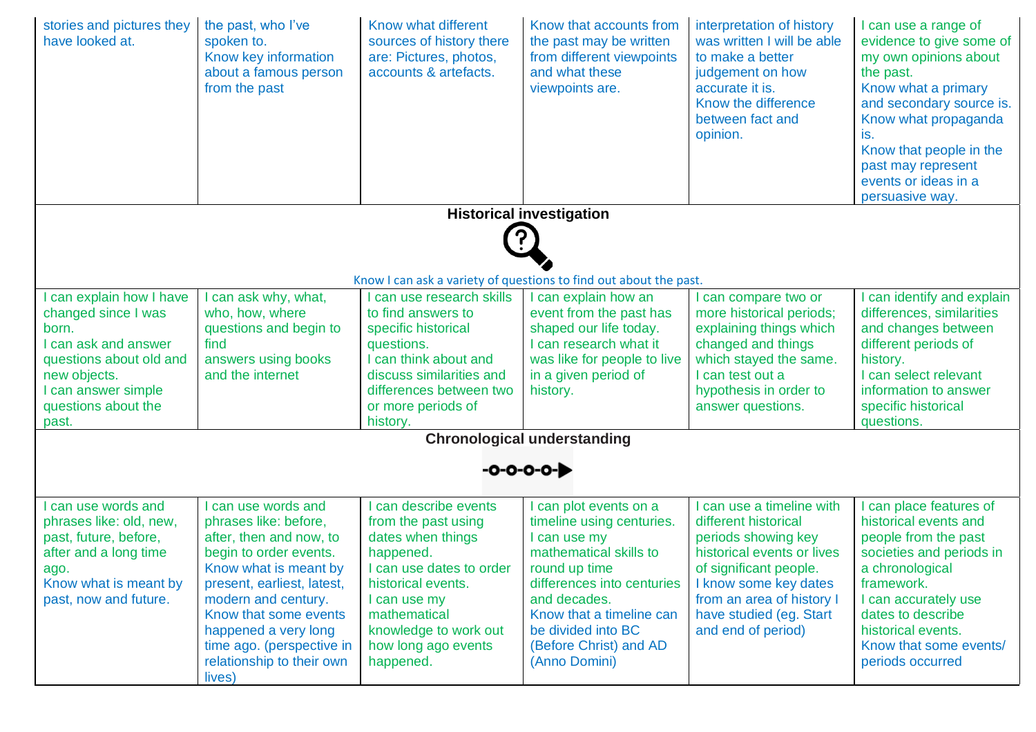| stories and pictures they<br>have looked at.                                                                                                                                     | the past, who I've<br>spoken to.<br>Know key information<br>about a famous person<br>from the past                                                                                                                                                                                                   | Know what different<br>sources of history there<br>are: Pictures, photos,<br>accounts & artefacts.                                                                                                                          | Know that accounts from<br>the past may be written<br>from different viewpoints<br>and what these<br>viewpoints are.                                                                                                                                      | interpretation of history<br>was written I will be able<br>to make a better<br>judgement on how<br>accurate it is.<br>Know the difference<br>between fact and<br>opinion.                                                             | I can use a range of<br>evidence to give some of<br>my own opinions about<br>the past.<br>Know what a primary<br>and secondary source is.<br>Know what propaganda<br>is.<br>Know that people in the<br>past may represent<br>events or ideas in a<br>persuasive way. |
|----------------------------------------------------------------------------------------------------------------------------------------------------------------------------------|------------------------------------------------------------------------------------------------------------------------------------------------------------------------------------------------------------------------------------------------------------------------------------------------------|-----------------------------------------------------------------------------------------------------------------------------------------------------------------------------------------------------------------------------|-----------------------------------------------------------------------------------------------------------------------------------------------------------------------------------------------------------------------------------------------------------|---------------------------------------------------------------------------------------------------------------------------------------------------------------------------------------------------------------------------------------|----------------------------------------------------------------------------------------------------------------------------------------------------------------------------------------------------------------------------------------------------------------------|
|                                                                                                                                                                                  |                                                                                                                                                                                                                                                                                                      |                                                                                                                                                                                                                             | <b>Historical investigation</b>                                                                                                                                                                                                                           |                                                                                                                                                                                                                                       |                                                                                                                                                                                                                                                                      |
|                                                                                                                                                                                  |                                                                                                                                                                                                                                                                                                      |                                                                                                                                                                                                                             |                                                                                                                                                                                                                                                           |                                                                                                                                                                                                                                       |                                                                                                                                                                                                                                                                      |
|                                                                                                                                                                                  |                                                                                                                                                                                                                                                                                                      |                                                                                                                                                                                                                             |                                                                                                                                                                                                                                                           |                                                                                                                                                                                                                                       |                                                                                                                                                                                                                                                                      |
|                                                                                                                                                                                  |                                                                                                                                                                                                                                                                                                      |                                                                                                                                                                                                                             | Know I can ask a variety of questions to find out about the past.                                                                                                                                                                                         |                                                                                                                                                                                                                                       |                                                                                                                                                                                                                                                                      |
| can explain how I have<br>changed since I was<br>born.<br>I can ask and answer<br>questions about old and<br>new objects.<br>I can answer simple<br>questions about the<br>past. | I can ask why, what,<br>who, how, where<br>questions and begin to<br>find<br>answers using books<br>and the internet                                                                                                                                                                                 | can use research skills<br>to find answers to<br>specific historical<br>questions.<br>I can think about and<br>discuss similarities and<br>differences between two<br>or more periods of<br>history.                        | I can explain how an<br>event from the past has<br>shaped our life today.<br>I can research what it<br>was like for people to live<br>in a given period of<br>history.                                                                                    | can compare two or<br>more historical periods;<br>explaining things which<br>changed and things<br>which stayed the same.<br>I can test out a<br>hypothesis in order to<br>answer questions.                                          | I can identify and explain<br>differences, similarities<br>and changes between<br>different periods of<br>history.<br>I can select relevant<br>information to answer<br>specific historical<br>questions.                                                            |
|                                                                                                                                                                                  |                                                                                                                                                                                                                                                                                                      |                                                                                                                                                                                                                             | <b>Chronological understanding</b>                                                                                                                                                                                                                        |                                                                                                                                                                                                                                       |                                                                                                                                                                                                                                                                      |
|                                                                                                                                                                                  |                                                                                                                                                                                                                                                                                                      |                                                                                                                                                                                                                             | $-0 - 0 - 0 - 0 - 0$                                                                                                                                                                                                                                      |                                                                                                                                                                                                                                       |                                                                                                                                                                                                                                                                      |
| can use words and<br>phrases like: old, new,<br>past, future, before,<br>after and a long time<br>ago.<br>Know what is meant by<br>past, now and future.                         | I can use words and<br>phrases like: before,<br>after, then and now, to<br>begin to order events.<br>Know what is meant by<br>present, earliest, latest,<br>modern and century.<br>Know that some events<br>happened a very long<br>time ago. (perspective in<br>relationship to their own<br>lives) | can describe events<br>from the past using<br>dates when things<br>happened.<br>I can use dates to order<br>historical events.<br>I can use my<br>mathematical<br>knowledge to work out<br>how long ago events<br>happened. | I can plot events on a<br>timeline using centuries.<br>I can use my<br>mathematical skills to<br>round up time<br>differences into centuries<br>and decades.<br>Know that a timeline can<br>be divided into BC<br>(Before Christ) and AD<br>(Anno Domini) | can use a timeline with<br>different historical<br>periods showing key<br>historical events or lives<br>of significant people.<br>I know some key dates<br>from an area of history I<br>have studied (eg. Start<br>and end of period) | I can place features of<br>historical events and<br>people from the past<br>societies and periods in<br>a chronological<br>framework.<br>I can accurately use<br>dates to describe<br>historical events.<br>Know that some events/<br>periods occurred               |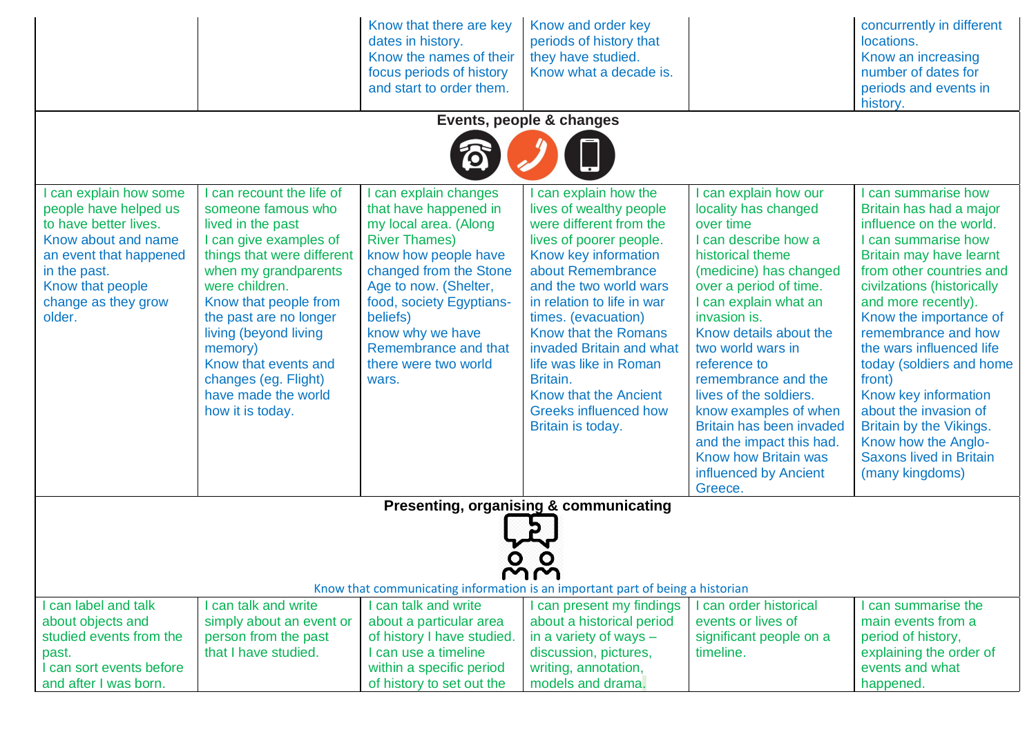|                                                                                                                                                                                              |                                                                                                                                                                                                                                                                                                                                                        | Know that there are key<br>dates in history.<br>Know the names of their<br>focus periods of history<br>and start to order them.                                                                                                                                                               | Know and order key<br>periods of history that<br>they have studied.<br>Know what a decade is.                                                                                                                                                                                                                                                                                                            |                                                                                                                                                                                                                                                                                                                                                                                                                                                                       | concurrently in different<br>locations.<br>Know an increasing<br>number of dates for<br>periods and events in<br>history.                                                                                                                                                                                                                                                                                                                                                             |
|----------------------------------------------------------------------------------------------------------------------------------------------------------------------------------------------|--------------------------------------------------------------------------------------------------------------------------------------------------------------------------------------------------------------------------------------------------------------------------------------------------------------------------------------------------------|-----------------------------------------------------------------------------------------------------------------------------------------------------------------------------------------------------------------------------------------------------------------------------------------------|----------------------------------------------------------------------------------------------------------------------------------------------------------------------------------------------------------------------------------------------------------------------------------------------------------------------------------------------------------------------------------------------------------|-----------------------------------------------------------------------------------------------------------------------------------------------------------------------------------------------------------------------------------------------------------------------------------------------------------------------------------------------------------------------------------------------------------------------------------------------------------------------|---------------------------------------------------------------------------------------------------------------------------------------------------------------------------------------------------------------------------------------------------------------------------------------------------------------------------------------------------------------------------------------------------------------------------------------------------------------------------------------|
|                                                                                                                                                                                              |                                                                                                                                                                                                                                                                                                                                                        |                                                                                                                                                                                                                                                                                               | Events, people & changes                                                                                                                                                                                                                                                                                                                                                                                 |                                                                                                                                                                                                                                                                                                                                                                                                                                                                       |                                                                                                                                                                                                                                                                                                                                                                                                                                                                                       |
|                                                                                                                                                                                              |                                                                                                                                                                                                                                                                                                                                                        | 0                                                                                                                                                                                                                                                                                             |                                                                                                                                                                                                                                                                                                                                                                                                          |                                                                                                                                                                                                                                                                                                                                                                                                                                                                       |                                                                                                                                                                                                                                                                                                                                                                                                                                                                                       |
| can explain how some<br>people have helped us<br>to have better lives.<br>Know about and name<br>an event that happened<br>in the past.<br>Know that people<br>change as they grow<br>older. | can recount the life of<br>someone famous who<br>lived in the past<br>I can give examples of<br>things that were different<br>when my grandparents<br>were children.<br>Know that people from<br>the past are no longer<br>living (beyond living<br>memory)<br>Know that events and<br>changes (eg. Flight)<br>have made the world<br>how it is today. | can explain changes<br>that have happened in<br>my local area. (Along<br><b>River Thames)</b><br>know how people have<br>changed from the Stone<br>Age to now. (Shelter,<br>food, society Egyptians-<br>beliefs)<br>know why we have<br>Remembrance and that<br>there were two world<br>wars. | can explain how the<br>lives of wealthy people<br>were different from the<br>lives of poorer people.<br>Know key information<br>about Remembrance<br>and the two world wars<br>in relation to life in war<br>times. (evacuation)<br>Know that the Romans<br>invaded Britain and what<br>life was like in Roman<br>Britain.<br>Know that the Ancient<br><b>Greeks influenced how</b><br>Britain is today. | can explain how our<br>locality has changed<br>over time<br>I can describe how a<br>historical theme<br>(medicine) has changed<br>over a period of time.<br>I can explain what an<br>invasion is.<br>Know details about the<br>two world wars in<br>reference to<br>remembrance and the<br>lives of the soldiers.<br>know examples of when<br>Britain has been invaded<br>and the impact this had.<br><b>Know how Britain was</b><br>influenced by Ancient<br>Greece. | can summarise how<br>Britain has had a major<br>influence on the world.<br>I can summarise how<br>Britain may have learnt<br>from other countries and<br>civilzations (historically<br>and more recently).<br>Know the importance of<br>remembrance and how<br>the wars influenced life<br>today (soldiers and home<br>front)<br>Know key information<br>about the invasion of<br>Britain by the Vikings.<br>Know how the Anglo-<br><b>Saxons lived in Britain</b><br>(many kingdoms) |
|                                                                                                                                                                                              |                                                                                                                                                                                                                                                                                                                                                        |                                                                                                                                                                                                                                                                                               | Presenting, organising & communicating                                                                                                                                                                                                                                                                                                                                                                   |                                                                                                                                                                                                                                                                                                                                                                                                                                                                       |                                                                                                                                                                                                                                                                                                                                                                                                                                                                                       |
| MM<br>Know that communicating information is an important part of being a historian                                                                                                          |                                                                                                                                                                                                                                                                                                                                                        |                                                                                                                                                                                                                                                                                               |                                                                                                                                                                                                                                                                                                                                                                                                          |                                                                                                                                                                                                                                                                                                                                                                                                                                                                       |                                                                                                                                                                                                                                                                                                                                                                                                                                                                                       |
| I can label and talk<br>about objects and<br>studied events from the<br>past.<br>I can sort events before<br>and after I was born.                                                           | can talk and write<br>simply about an event or<br>person from the past<br>that I have studied.                                                                                                                                                                                                                                                         | I can talk and write<br>about a particular area<br>of history I have studied.<br>I can use a timeline<br>within a specific period<br>of history to set out the                                                                                                                                | can present my findings<br>about a historical period<br>in a variety of ways -<br>discussion, pictures,<br>writing, annotation,<br>models and drama.                                                                                                                                                                                                                                                     | can order historical<br>events or lives of<br>significant people on a<br>timeline.                                                                                                                                                                                                                                                                                                                                                                                    | can summarise the<br>main events from a<br>period of history,<br>explaining the order of<br>events and what<br>happened.                                                                                                                                                                                                                                                                                                                                                              |